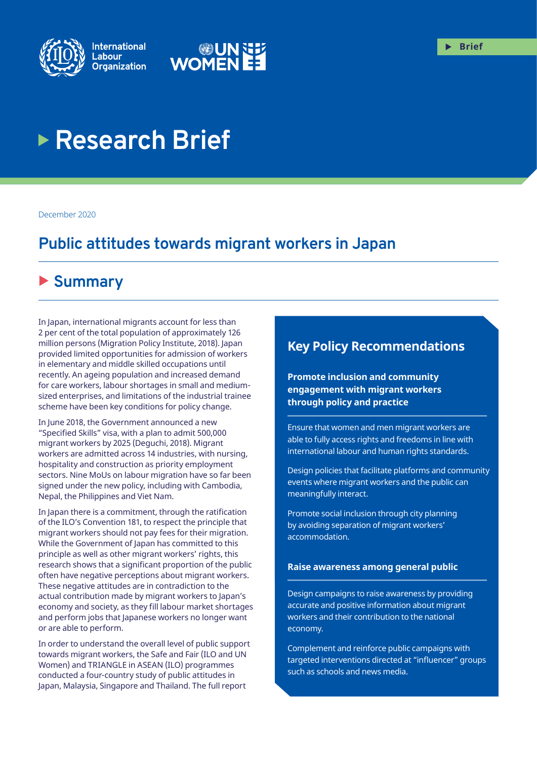



# **Research Brief**

December 2020

# **Public attitudes towards migrant workers in Japan**

# X **Summary**

In Japan, international migrants account for less than 2 per cent of the total population of approximately 126 million persons (Migration Policy Institute, 2018). Japan provided limited opportunities for admission of workers in elementary and middle skilled occupations until recently. An ageing population and increased demand for care workers, labour shortages in small and mediumsized enterprises, and limitations of the industrial trainee scheme have been key conditions for policy change.

In June 2018, the Government announced a new "Specified Skills" visa, with a plan to admit 500,000 migrant workers by 2025 (Deguchi, 2018). Migrant workers are admitted across 14 industries, with nursing, hospitality and construction as priority employment sectors. Nine MoUs on labour migration have so far been signed under the new policy, including with Cambodia, Nepal, the Philippines and Viet Nam.

In Japan there is a commitment, through the ratification of the ILO's Convention 181, to respect the principle that migrant workers should not pay fees for their migration. While the Government of Japan has committed to this principle as well as other migrant workers' rights, this research shows that a significant proportion of the public often have negative perceptions about migrant workers. These negative attitudes are in contradiction to the actual contribution made by migrant workers to Japan's economy and society, as they fill labour market shortages and perform jobs that Japanese workers no longer want or are able to perform.

In order to understand the overall level of public support towards migrant workers, the Safe and Fair (ILO and UN Women) and TRIANGLE in ASEAN (ILO) programmes conducted a four-country study of public attitudes in Japan, Malaysia, Singapore and Thailand. The full report

### **Key Policy Recommendations**

**Promote inclusion and community engagement with migrant workers through policy and practice**

Ensure that women and men migrant workers are able to fully access rights and freedoms in line with international labour and human rights standards.

Design policies that facilitate platforms and community events where migrant workers and the public can meaningfully interact.

Promote social inclusion through city planning by avoiding separation of migrant workers' accommodation.

#### **Raise awareness among general public**

Design campaigns to raise awareness by providing accurate and positive information about migrant workers and their contribution to the national economy.

Complement and reinforce public campaigns with targeted interventions directed at "influencer" groups such as schools and news media.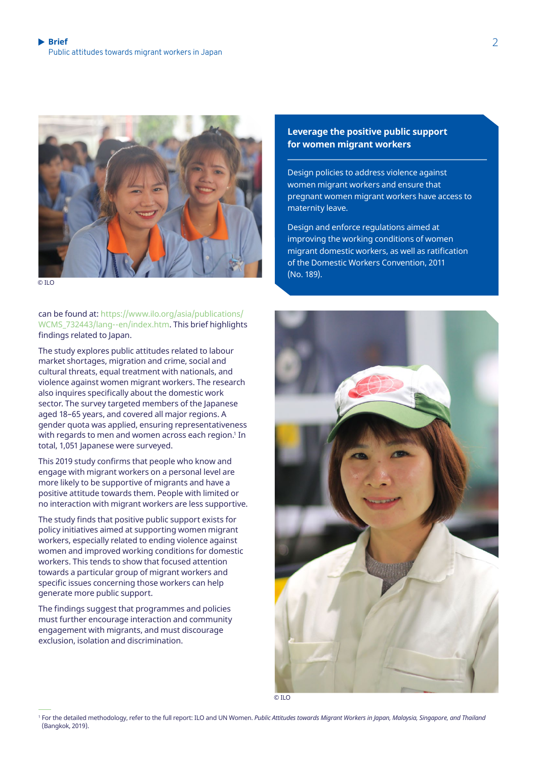

 $\overline{O}$  ILC

can be found at: [https://www.ilo.org/asia/publications/](https://www.ilo.org/asia/publications/WCMS_732443/lang--en/index.htm) [WCMS\\_732443/lang--en/index.htm.](https://www.ilo.org/asia/publications/WCMS_732443/lang--en/index.htm) This brief highlights findings related to Japan.

The study explores public attitudes related to labour market shortages, migration and crime, social and cultural threats, equal treatment with nationals, and violence against women migrant workers. The research also inquires specifically about the domestic work sector. The survey targeted members of the Japanese aged 18–65 years, and covered all major regions. A gender quota was applied, ensuring representativeness with regards to men and women across each region.' In total, 1,051 Japanese were surveyed.

This 2019 study confirms that people who know and engage with migrant workers on a personal level are more likely to be supportive of migrants and have a positive attitude towards them. People with limited or no interaction with migrant workers are less supportive.

The study finds that positive public support exists for policy initiatives aimed at supporting women migrant workers, especially related to ending violence against women and improved working conditions for domestic workers. This tends to show that focused attention towards a particular group of migrant workers and specific issues concerning those workers can help generate more public support.

The findings suggest that programmes and policies must further encourage interaction and community engagement with migrants, and must discourage exclusion, isolation and discrimination.

#### **Leverage the positive public support for women migrant workers**

Design policies to address violence against women migrant workers and ensure that pregnant women migrant workers have access to maternity leave.

Design and enforce regulations aimed at improving the working conditions of women migrant domestic workers, as well as ratification of the Domestic Workers Convention, 2011 (No. 189).



© ILO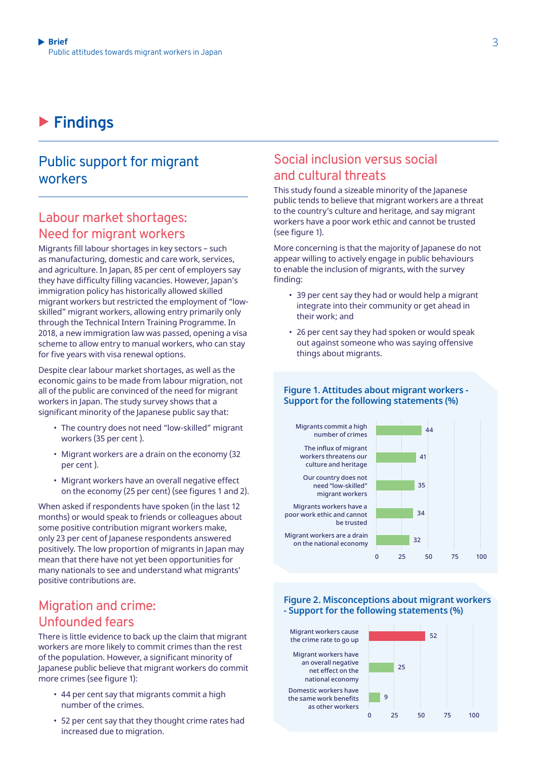# X **Findings**

### Public support for migrant workers

### Labour market shortages: Need for migrant workers

Migrants fill labour shortages in key sectors – such as manufacturing, domestic and care work, services, and agriculture. In Japan, 85 per cent of employers say they have difficulty filling vacancies. However, Japan's immigration policy has historically allowed skilled migrant workers but restricted the employment of "lowskilled" migrant workers, allowing entry primarily only through the Technical Intern Training Programme. In 2018, a new immigration law was passed, opening a visa scheme to allow entry to manual workers, who can stay for five years with visa renewal options.

Despite clear labour market shortages, as well as the economic gains to be made from labour migration, not all of the public are convinced of the need for migrant workers in Japan. The study survey shows that a significant minority of the Japanese public say that:

- The country does not need "low-skilled" migrant workers (35 per cent ).
- Migrant workers are a drain on the economy (32 per cent ).
- Migrant workers have an overall negative effect on the economy (25 per cent) (see figures 1 and 2).

When asked if respondents have spoken (in the last 12 months) or would speak to friends or colleagues about some positive contribution migrant workers make, only 23 per cent of Japanese respondents answered positively. The low proportion of migrants in Japan may mean that there have not yet been opportunities for many nationals to see and understand what migrants' positive contributions are.

### Migration and crime: Unfounded fears

There is little evidence to back up the claim that migrant workers are more likely to commit crimes than the rest of the population. However, a significant minority of Japanese public believe that migrant workers do commit more crimes (see figure 1):

- 44 per cent say that migrants commit a high number of the crimes.
- 52 per cent say that they thought crime rates had increased due to migration.

### Social inclusion versus social and cultural threats

This study found a sizeable minority of the Japanese public tends to believe that migrant workers are a threat to the country's culture and heritage, and say migrant workers have a poor work ethic and cannot be trusted (see figure 1).

More concerning is that the majority of Japanese do not appear willing to actively engage in public behaviours to enable the inclusion of migrants, with the survey finding:

- 39 per cent say they had or would help a migrant integrate into their community or get ahead in their work; and
- 26 per cent say they had spoken or would speak out against someone who was saying offensive things about migrants.

#### **Figure 1. Attitudes about migrant workers - Support for the following statements (%)**

Our country does not need "low-skilled" migrant workers Migrants commit a high number of crimes Migrants workers have a poor work ethic and cannot be trusted Migrant workers are a drain on the national economy The influx of migrant workers threatens our culture and heritage 75 50  $25$  $\Omega$ 100  $\overline{41}$ 34  $\overline{44}$ 35 32

#### **Figure 2. Misconceptions about migrant workers - Support for the following statements (%)**

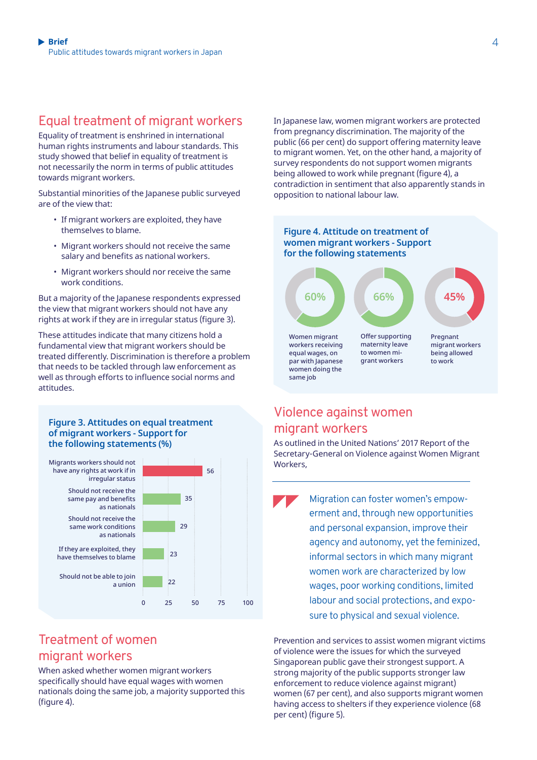### Equal treatment of migrant workers

Equality of treatment is enshrined in international human rights instruments and labour standards. This study showed that belief in equality of treatment is not necessarily the norm in terms of public attitudes towards migrant workers.

Substantial minorities of the Japanese public surveyed are of the view that:

- If migrant workers are exploited, they have themselves to blame.
- Migrant workers should not receive the same salary and benefits as national workers.
- Migrant workers should nor receive the same work conditions.

But a majority of the Japanese respondents expressed the view that migrant workers should not have any rights at work if they are in irregular status (figure 3).

These attitudes indicate that many citizens hold a fundamental view that migrant workers should be treated differently. Discrimination is therefore a problem that needs to be tackled through law enforcement as well as through efforts to influence social norms and attitudes.

#### **Figure 3. Attitudes on equal treatment of migrant workers - Support for the following statements (%)**



### Treatment of women migrant workers

When asked whether women migrant workers specifically should have equal wages with women nationals doing the same job, a majority supported this (figure 4).

In Japanese law, women migrant workers are protected from pregnancy discrimination. The majority of the public (66 per cent) do support offering maternity leave to migrant women. Yet, on the other hand, a majority of survey respondents do not support women migrants being allowed to work while pregnant (figure 4), a contradiction in sentiment that also apparently stands in opposition to national labour law.



### Violence against women migrant workers

As outlined in the United Nations' 2017 Report of the Secretary-General on Violence against Women Migrant Workers,

Migration can foster women's empowerment and, through new opportunities and personal expansion, improve their agency and autonomy, yet the feminized, informal sectors in which many migrant women work are characterized by low wages, poor working conditions, limited labour and social protections, and exposure to physical and sexual violence.

Prevention and services to assist women migrant victims of violence were the issues for which the surveyed Singaporean public gave their strongest support. A strong majority of the public supports stronger law enforcement to reduce violence against migrant) women (67 per cent), and also supports migrant women having access to shelters if they experience violence (68 per cent) (figure 5).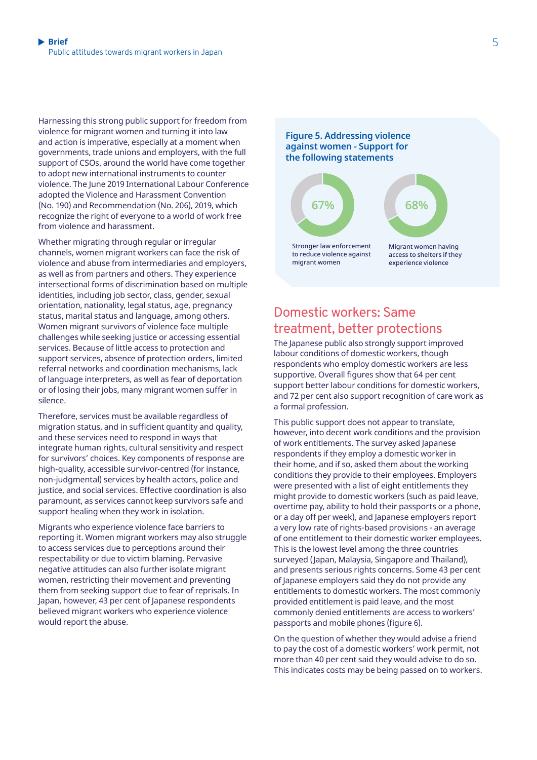Harnessing this strong public support for freedom from violence for migrant women and turning it into law and action is imperative, especially at a moment when governments, trade unions and employers, with the full support of CSOs, around the world have come together to adopt new international instruments to counter violence. The June 2019 International Labour Conference adopted the Violence and Harassment Convention (No. 190) and Recommendation (No. 206), 2019, which recognize the right of everyone to a world of work free from violence and harassment.

Whether migrating through regular or irregular channels, women migrant workers can face the risk of violence and abuse from intermediaries and employers, as well as from partners and others. They experience intersectional forms of discrimination based on multiple identities, including job sector, class, gender, sexual orientation, nationality, legal status, age, pregnancy status, marital status and language, among others. Women migrant survivors of violence face multiple challenges while seeking justice or accessing essential services. Because of little access to protection and support services, absence of protection orders, limited referral networks and coordination mechanisms, lack of language interpreters, as well as fear of deportation or of losing their jobs, many migrant women suffer in silence.

Therefore, services must be available regardless of migration status, and in sufficient quantity and quality, and these services need to respond in ways that integrate human rights, cultural sensitivity and respect for survivors' choices. Key components of response are high-quality, accessible survivor-centred (for instance, non-judgmental) services by health actors, police and justice, and social services. Effective coordination is also paramount, as services cannot keep survivors safe and support healing when they work in isolation.

Migrants who experience violence face barriers to reporting it. Women migrant workers may also struggle to access services due to perceptions around their respectability or due to victim blaming. Pervasive negative attitudes can also further isolate migrant women, restricting their movement and preventing them from seeking support due to fear of reprisals. In Japan, however, 43 per cent of Japanese respondents believed migrant workers who experience violence would report the abuse.

**Figure 5. Addressing violence against women - Support for the following statements**



### Domestic workers: Same treatment, better protections

The Japanese public also strongly support improved labour conditions of domestic workers, though respondents who employ domestic workers are less supportive. Overall figures show that 64 per cent support better labour conditions for domestic workers, and 72 per cent also support recognition of care work as a formal profession.

This public support does not appear to translate, however, into decent work conditions and the provision of work entitlements. The survey asked Japanese respondents if they employ a domestic worker in their home, and if so, asked them about the working conditions they provide to their employees. Employers were presented with a list of eight entitlements they might provide to domestic workers (such as paid leave, overtime pay, ability to hold their passports or a phone, or a day off per week), and Japanese employers report a very low rate of rights-based provisions - an average of one entitlement to their domestic worker employees. This is the lowest level among the three countries surveyed (Japan, Malaysia, Singapore and Thailand), and presents serious rights concerns. Some 43 per cent of Japanese employers said they do not provide any entitlements to domestic workers. The most commonly provided entitlement is paid leave, and the most commonly denied entitlements are access to workers' passports and mobile phones (figure 6).

On the question of whether they would advise a friend to pay the cost of a domestic workers' work permit, not more than 40 per cent said they would advise to do so. This indicates costs may be being passed on to workers.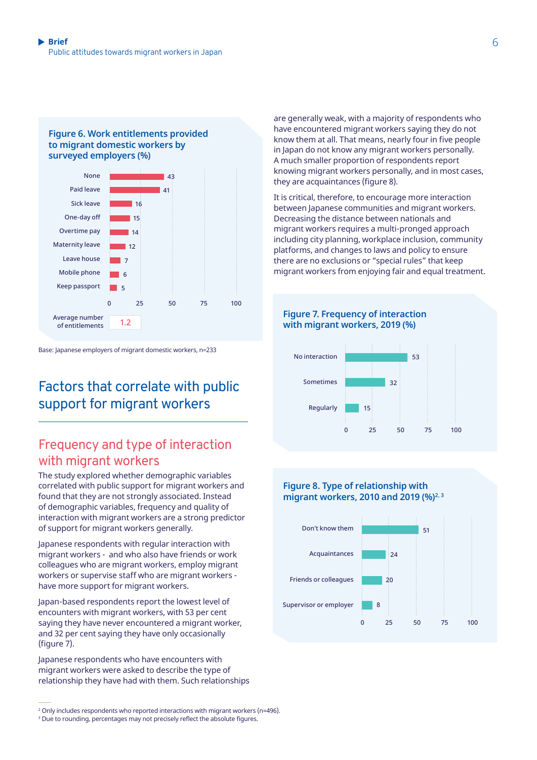#### **Figure 6. Work entitlements provided to migrant domestic workers by surveyed employers (%)**



Base: Japanese employers of migrant domestic workers, n=233

# Factors that correlate with public support for migrant workers

### Frequency and type of interaction with migrant workers

The study explored whether demographic variables correlated with public support for migrant workers and found that they are not strongly associated. Instead of demographic variables, frequency and quality of interaction with migrant workers are a strong predictor of support for migrant workers generally.

Japanese respondents with regular interaction with migrant workers - and who also have friends or work colleagues who are migrant workers, employ migrant workers or supervise staff who are migrant workers have more support for migrant workers.

Japan-based respondents report the lowest level of encounters with migrant workers, with 53 per cent saying they have never encountered a migrant worker, and 32 per cent saying they have only occasionally (figure 7).

Japanese respondents who have encounters with migrant workers were asked to describe the type of relationship they have had with them. Such relationships are generally weak, with a majority of respondents who have encountered migrant workers saying they do not know them at all. That means, nearly four in five people in Japan do not know any migrant workers personally. A much smaller proportion of respondents report knowing migrant workers personally, and in most cases, they are acquaintances (figure 8).

It is critical, therefore, to encourage more interaction between Japanese communities and migrant workers. Decreasing the distance between nationals and migrant workers requires a multi-pronged approach including city planning, workplace inclusion, community platforms, and changes to laws and policy to ensure there are no exclusions or "special rules" that keep migrant workers from enjoying fair and equal treatment.



#### **Figure 8. Type of relationship with migrant workers, 2010 and 2019 (%)2, 3**



<sup>2</sup> Only includes respondents who reported interactions with migrant workers (n=496).

 $\,$  Due to rounding, percentages may not precisely reflect the absolute figures.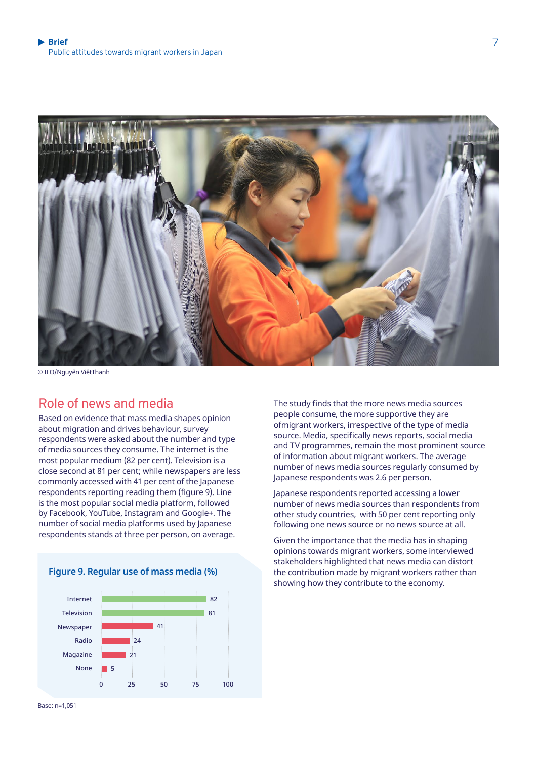

© ILO/Nguyễn ViệtThanh

### Role of news and media

Based on evidence that mass media shapes opinion about migration and drives behaviour, survey respondents were asked about the number and type of media sources they consume. The internet is the most popular medium (82 per cent). Television is a close second at 81 per cent; while newspapers are less commonly accessed with 41 per cent of the Japanese respondents reporting reading them (figure 9). Line is the most popular social media platform, followed by Facebook, YouTube, Instagram and Google+. The number of social media platforms used by Japanese respondents stands at three per person, on average.



**Figure 9. Regular use of mass media (%)**

The study finds that the more news media sources people consume, the more supportive they are ofmigrant workers, irrespective of the type of media source. Media, specifically news reports, social media and TV programmes, remain the most prominent source of information about migrant workers. The average number of news media sources regularly consumed by Japanese respondents was 2.6 per person.

Japanese respondents reported accessing a lower number of news media sources than respondents from other study countries, with 50 per cent reporting only following one news source or no news source at all.

Given the importance that the media has in shaping opinions towards migrant workers, some interviewed stakeholders highlighted that news media can distort the contribution made by migrant workers rather than showing how they contribute to the economy.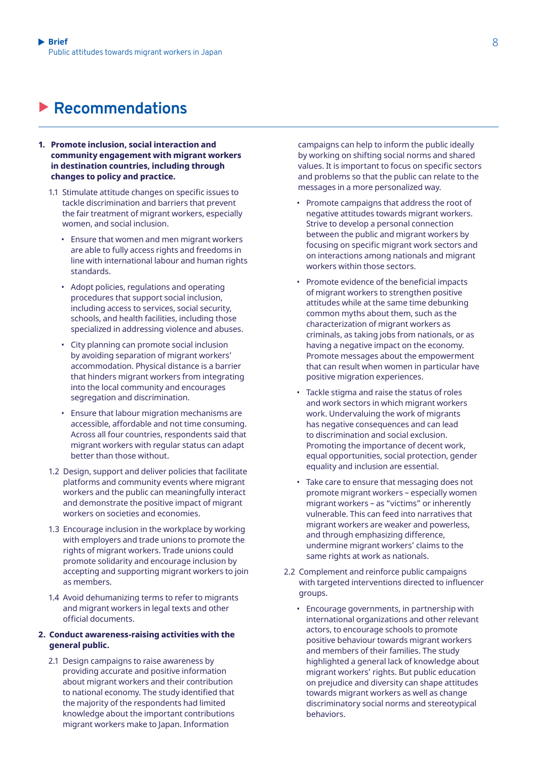# X **Recommendations**

- **1. Promote inclusion, social interaction and community engagement with migrant workers in destination countries, including through changes to policy and practice.** 
	- 1.1 Stimulate attitude changes on specific issues to tackle discrimination and barriers that prevent the fair treatment of migrant workers, especially women, and social inclusion.
		- Ensure that women and men migrant workers are able to fully access rights and freedoms in line with international labour and human rights standards.
		- Adopt policies, regulations and operating procedures that support social inclusion, including access to services, social security, schools, and health facilities, including those specialized in addressing violence and abuses.
		- City planning can promote social inclusion by avoiding separation of migrant workers' accommodation. Physical distance is a barrier that hinders migrant workers from integrating into the local community and encourages segregation and discrimination.
		- Ensure that labour migration mechanisms are accessible, affordable and not time consuming. Across all four countries, respondents said that migrant workers with regular status can adapt better than those without.
	- 1.2 Design, support and deliver policies that facilitate platforms and community events where migrant workers and the public can meaningfully interact and demonstrate the positive impact of migrant workers on societies and economies.
	- 1.3 Encourage inclusion in the workplace by working with employers and trade unions to promote the rights of migrant workers. Trade unions could promote solidarity and encourage inclusion by accepting and supporting migrant workers to join as members.
	- 1.4 Avoid dehumanizing terms to refer to migrants and migrant workers in legal texts and other official documents.

#### **2. Conduct awareness-raising activities with the general public.**

2.1 Design campaigns to raise awareness by providing accurate and positive information about migrant workers and their contribution to national economy. The study identified that the majority of the respondents had limited knowledge about the important contributions migrant workers make to Japan. Information

campaigns can help to inform the public ideally by working on shifting social norms and shared values. It is important to focus on specific sectors and problems so that the public can relate to the messages in a more personalized way.

- Promote campaigns that address the root of negative attitudes towards migrant workers. Strive to develop a personal connection between the public and migrant workers by focusing on specific migrant work sectors and on interactions among nationals and migrant workers within those sectors.
- Promote evidence of the beneficial impacts of migrant workers to strengthen positive attitudes while at the same time debunking common myths about them, such as the characterization of migrant workers as criminals, as taking jobs from nationals, or as having a negative impact on the economy. Promote messages about the empowerment that can result when women in particular have positive migration experiences.
- Tackle stigma and raise the status of roles and work sectors in which migrant workers work. Undervaluing the work of migrants has negative consequences and can lead to discrimination and social exclusion. Promoting the importance of decent work, equal opportunities, social protection, gender equality and inclusion are essential.
- Take care to ensure that messaging does not promote migrant workers – especially women migrant workers – as "victims" or inherently vulnerable. This can feed into narratives that migrant workers are weaker and powerless, and through emphasizing difference, undermine migrant workers' claims to the same rights at work as nationals.
- 2.2 Complement and reinforce public campaigns with targeted interventions directed to influencer groups.
	- Encourage governments, in partnership with international organizations and other relevant actors, to encourage schools to promote positive behaviour towards migrant workers and members of their families. The study highlighted a general lack of knowledge about migrant workers' rights. But public education on prejudice and diversity can shape attitudes towards migrant workers as well as change discriminatory social norms and stereotypical behaviors.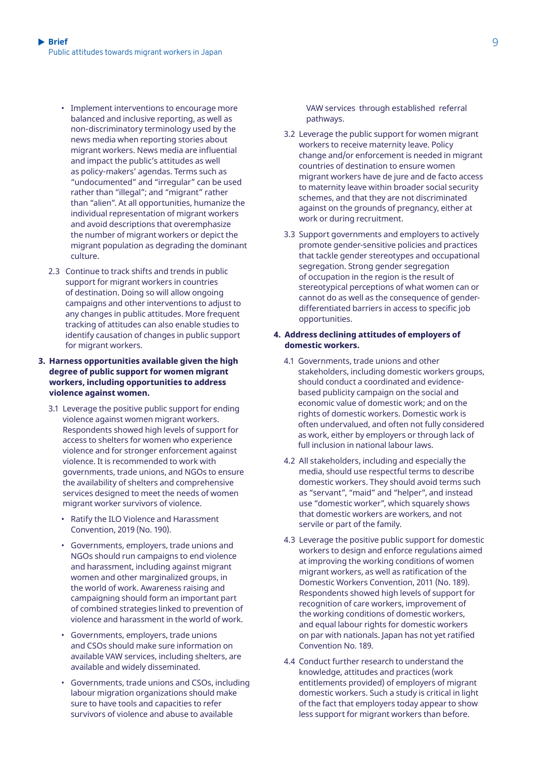- Implement interventions to encourage more balanced and inclusive reporting, as well as non-discriminatory terminology used by the news media when reporting stories about migrant workers. News media are influential and impact the public's attitudes as well as policy-makers' agendas. Terms such as "undocumented" and "irregular" can be used rather than "illegal"; and "migrant" rather than "alien". At all opportunities, humanize the individual representation of migrant workers and avoid descriptions that overemphasize the number of migrant workers or depict the migrant population as degrading the dominant culture.
- 2.3 Continue to track shifts and trends in public support for migrant workers in countries of destination. Doing so will allow ongoing campaigns and other interventions to adjust to any changes in public attitudes. More frequent tracking of attitudes can also enable studies to identify causation of changes in public support for migrant workers.

#### **3. Harness opportunities available given the high degree of public support for women migrant workers, including opportunities to address violence against women.**

- 3.1 Leverage the positive public support for ending violence against women migrant workers. Respondents showed high levels of support for access to shelters for women who experience violence and for stronger enforcement against violence. It is recommended to work with governments, trade unions, and NGOs to ensure the availability of shelters and comprehensive services designed to meet the needs of women migrant worker survivors of violence.
	- Ratify the ILO Violence and Harassment Convention, 2019 (No. 190).
	- Governments, employers, trade unions and NGOs should run campaigns to end violence and harassment, including against migrant women and other marginalized groups, in the world of work. Awareness raising and campaigning should form an important part of combined strategies linked to prevention of violence and harassment in the world of work.
	- Governments, employers, trade unions and CSOs should make sure information on available VAW services, including shelters, are available and widely disseminated.
	- Governments, trade unions and CSOs, including labour migration organizations should make sure to have tools and capacities to refer survivors of violence and abuse to available

VAW services through established referral pathways.

- 3.2 Leverage the public support for women migrant workers to receive maternity leave. Policy change and/or enforcement is needed in migrant countries of destination to ensure women migrant workers have de jure and de facto access to maternity leave within broader social security schemes, and that they are not discriminated against on the grounds of pregnancy, either at work or during recruitment.
- 3.3 Support governments and employers to actively promote gender-sensitive policies and practices that tackle gender stereotypes and occupational segregation. Strong gender segregation of occupation in the region is the result of stereotypical perceptions of what women can or cannot do as well as the consequence of genderdifferentiated barriers in access to specific job opportunities.

#### **4. Address declining attitudes of employers of domestic workers.**

- 4.1 Governments, trade unions and other stakeholders, including domestic workers groups, should conduct a coordinated and evidencebased publicity campaign on the social and economic value of domestic work; and on the rights of domestic workers. Domestic work is often undervalued, and often not fully considered as work, either by employers or through lack of full inclusion in national labour laws.
- 4.2 All stakeholders, including and especially the media, should use respectful terms to describe domestic workers. They should avoid terms such as "servant", "maid" and "helper", and instead use "domestic worker", which squarely shows that domestic workers are workers, and not servile or part of the family.
- 4.3 Leverage the positive public support for domestic workers to design and enforce regulations aimed at improving the working conditions of women migrant workers, as well as ratification of the Domestic Workers Convention, 2011 (No. 189). Respondents showed high levels of support for recognition of care workers, improvement of the working conditions of domestic workers, and equal labour rights for domestic workers on par with nationals. Japan has not yet ratified Convention No. 189.
- 4.4 Conduct further research to understand the knowledge, attitudes and practices (work entitlements provided) of employers of migrant domestic workers. Such a study is critical in light of the fact that employers today appear to show less support for migrant workers than before.